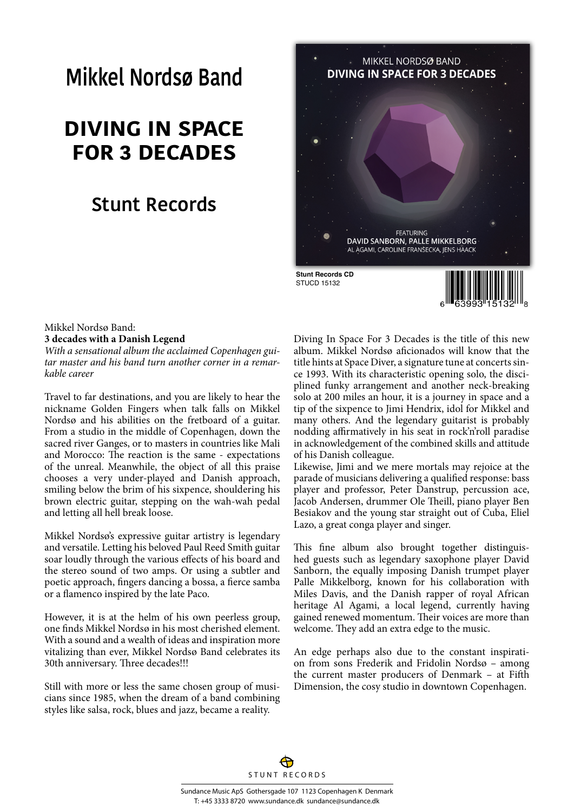# **Mikkel Nordsø Band**

## **DIVING IN SPACE FOR 3 DECADES**

## **Stunt Records**



## Mikkel Nordsø Band:

**3 decades with a Danish Legend**

*With a sensational album the acclaimed Copenhagen guitar master and his band turn another corner in a remarkable career*

Travel to far destinations, and you are likely to hear the nickname Golden Fingers when talk falls on Mikkel Nordsø and his abilities on the fretboard of a guitar. From a studio in the middle of Copenhagen, down the sacred river Ganges, or to masters in countries like Mali and Morocco: The reaction is the same - expectations of the unreal. Meanwhile, the object of all this praise chooses a very under-played and Danish approach, smiling below the brim of his sixpence, shouldering his brown electric guitar, stepping on the wah-wah pedal and letting all hell break loose.

Mikkel Nordsø's expressive guitar artistry is legendary and versatile. Letting his beloved Paul Reed Smith guitar soar loudly through the various effects of his board and the stereo sound of two amps. Or using a subtler and poetic approach, fingers dancing a bossa, a fierce samba or a flamenco inspired by the late Paco.

However, it is at the helm of his own peerless group, one finds Mikkel Nordsø in his most cherished element. With a sound and a wealth of ideas and inspiration more vitalizing than ever, Mikkel Nordsø Band celebrates its 30th anniversary. Three decades!!!

Still with more or less the same chosen group of musicians since 1985, when the dream of a band combining styles like salsa, rock, blues and jazz, became a reality.

Diving In Space For 3 Decades is the title of this new album. Mikkel Nordsø aficionados will know that the title hints at Space Diver, a signature tune at concerts since 1993. With its characteristic opening solo, the disciplined funky arrangement and another neck-breaking solo at 200 miles an hour, it is a journey in space and a tip of the sixpence to Jimi Hendrix, idol for Mikkel and many others. And the legendary guitarist is probably nodding affirmatively in his seat in rock'n'roll paradise in acknowledgement of the combined skills and attitude of his Danish colleague.

Likewise, Jimi and we mere mortals may rejoice at the parade of musicians delivering a qualified response: bass player and professor, Peter Danstrup, percussion ace, Jacob Andersen, drummer Ole Theill, piano player Ben Besiakov and the young star straight out of Cuba, Eliel Lazo, a great conga player and singer.

This fine album also brought together distinguished guests such as legendary saxophone player David Sanborn, the equally imposing Danish trumpet player Palle Mikkelborg, known for his collaboration with Miles Davis, and the Danish rapper of royal African heritage Al Agami, a local legend, currently having gained renewed momentum. Their voices are more than welcome. They add an extra edge to the music.

An edge perhaps also due to the constant inspiration from sons Frederik and Fridolin Nordsø – among the current master producers of Denmark – at Fifth Dimension, the cosy studio in downtown Copenhagen.